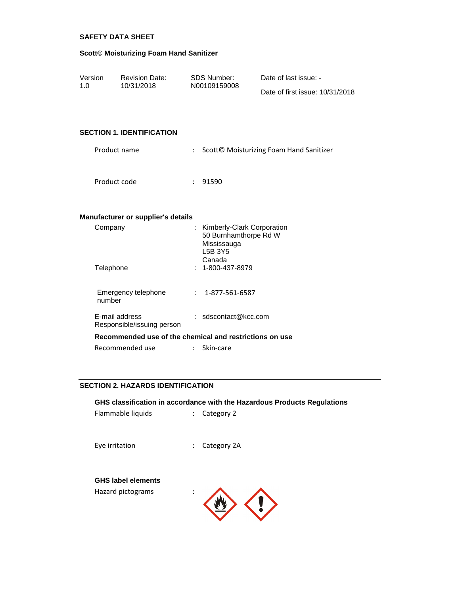#### **Scott© Moisturizing Foam Hand Sanitizer**

| Version | <b>Revision Date:</b> | SDS Number:  | Date of last issue: -           |
|---------|-----------------------|--------------|---------------------------------|
| 1.0     | 10/31/2018            | N00109159008 | Date of first issue: 10/31/2018 |

### **SECTION 1. IDENTIFICATION**

| Product name | : Scott© Moisturizing Foam Hand Sanitizer |
|--------------|-------------------------------------------|
| Product code | : 91590                                   |

#### **Manufacturer or supplier's details**

| Company                                      | : Kimberly-Clark Corporation<br>50 Burnhamthorpe Rd W<br>Mississauga<br>L5B 3Y5<br>Canada |
|----------------------------------------------|-------------------------------------------------------------------------------------------|
| Telephone                                    | $: 1 - 800 - 437 - 8979$                                                                  |
| Emergency telephone<br>number                | $: 1 - 877 - 561 - 6587$                                                                  |
| E-mail address<br>Responsible/issuing person | : $sdscontact@kcc.com$                                                                    |
|                                              | Recommended use of the chemical and restrictions on use                                   |
| Recommended use                              | Skin-care                                                                                 |

### **SECTION 2. HAZARDS IDENTIFICATION**

**GHS classification in accordance with the Hazardous Products Regulations**

Flammable liquids : Category 2

Eye irritation  $\qquad \qquad : \qquad$  Category 2A

#### **GHS label elements**

Hazard pictograms :

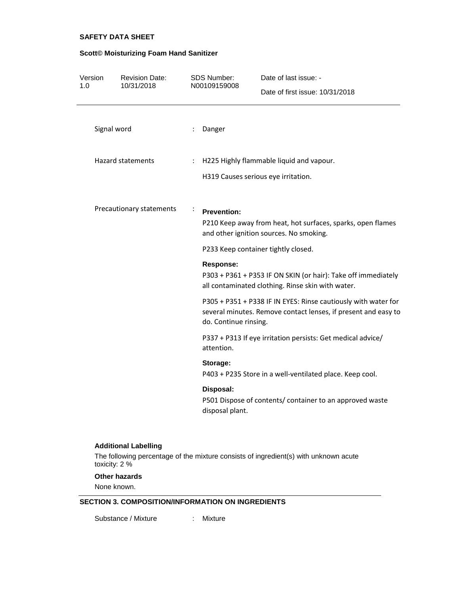#### **Scott© Moisturizing Foam Hand Sanitizer**

| Version<br>1.0 | <b>Revision Date:</b><br>10/31/2018 | SDS Number:<br>N00109159008  | Date of last issue: -                                                                                                            |
|----------------|-------------------------------------|------------------------------|----------------------------------------------------------------------------------------------------------------------------------|
|                |                                     |                              | Date of first issue: 10/31/2018                                                                                                  |
|                | Signal word                         | Danger<br>÷                  |                                                                                                                                  |
|                | <b>Hazard statements</b>            | ÷                            | H225 Highly flammable liquid and vapour.<br>H319 Causes serious eye irritation.                                                  |
|                | Precautionary statements            | <b>Prevention:</b>           | P210 Keep away from heat, hot surfaces, sparks, open flames<br>and other ignition sources. No smoking.                           |
|                |                                     |                              | P233 Keep container tightly closed.                                                                                              |
|                |                                     | <b>Response:</b>             | P303 + P361 + P353 IF ON SKIN (or hair): Take off immediately<br>all contaminated clothing. Rinse skin with water.               |
|                |                                     | do. Continue rinsing.        | P305 + P351 + P338 IF IN EYES: Rinse cautiously with water for<br>several minutes. Remove contact lenses, if present and easy to |
|                |                                     | attention.                   | P337 + P313 If eye irritation persists: Get medical advice/                                                                      |
|                |                                     | Storage:                     | P403 + P235 Store in a well-ventilated place. Keep cool.                                                                         |
|                |                                     | Disposal:<br>disposal plant. | P501 Dispose of contents/ container to an approved waste                                                                         |
|                | <b>Additional Labelling</b>         |                              |                                                                                                                                  |

The following percentage of the mixture consists of ingredient(s) with unknown acute toxicity: 2 %

#### **Other hazards**

None known.

### **SECTION 3. COMPOSITION/INFORMATION ON INGREDIENTS**

Substance / Mixture : Mixture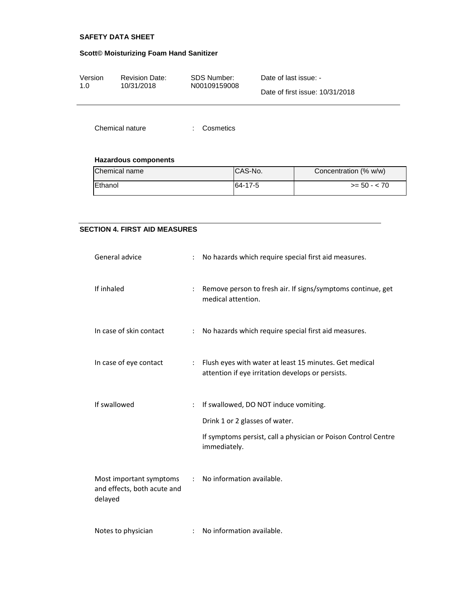#### **Scott© Moisturizing Foam Hand Sanitizer**

| Version     | <b>Revision Date:</b> | SDS Number:  | Date of last issue: -           |
|-------------|-----------------------|--------------|---------------------------------|
| 1. $\Omega$ | 10/31/2018            | N00109159008 |                                 |
|             |                       |              | Date of first issue: 10/31/2018 |

Chemical nature : Cosmetics

# **Hazardous components**

| Chemical name  | ICAS-No. | Concentration (% w/w) |
|----------------|----------|-----------------------|
| <b>Ethanol</b> | 64-17-5  | $>= 50 - 70$          |

### **SECTION 4. FIRST AID MEASURES**

| General advice                                                    |              | No hazards which require special first aid measures.                                                        |
|-------------------------------------------------------------------|--------------|-------------------------------------------------------------------------------------------------------------|
| If inhaled                                                        | ÷            | Remove person to fresh air. If signs/symptoms continue, get<br>medical attention.                           |
| In case of skin contact                                           | ÷            | No hazards which require special first aid measures.                                                        |
| In case of eye contact                                            | ÷.           | Flush eyes with water at least 15 minutes. Get medical<br>attention if eye irritation develops or persists. |
| If swallowed                                                      | ÷            | If swallowed, DO NOT induce vomiting.                                                                       |
|                                                                   |              | Drink 1 or 2 glasses of water.                                                                              |
|                                                                   |              | If symptoms persist, call a physician or Poison Control Centre<br>immediately.                              |
| Most important symptoms<br>and effects, both acute and<br>delayed | $\mathbf{r}$ | No information available.                                                                                   |
| Notes to physician                                                |              | No information available.                                                                                   |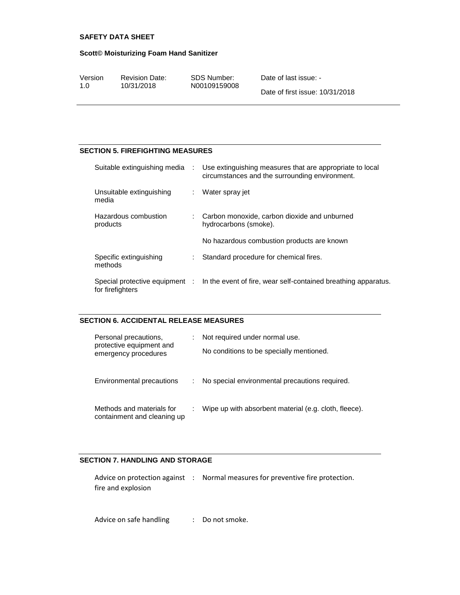#### **Scott© Moisturizing Foam Hand Sanitizer**

| Version | <b>Revision Date:</b> | SDS Number:  | Date of last issue: -           |
|---------|-----------------------|--------------|---------------------------------|
| 1.0     | 10/31/2018            | N00109159008 |                                 |
|         |                       |              | Date of first issue: 10/31/2018 |

#### **SECTION 5. FIREFIGHTING MEASURES**

| Suitable extinguishing media :    |   | Use extinguishing measures that are appropriate to local<br>circumstances and the surrounding environment. |
|-----------------------------------|---|------------------------------------------------------------------------------------------------------------|
| Unsuitable extinguishing<br>media | ÷ | Water spray jet                                                                                            |
| Hazardous combustion<br>products  |   | : Carbon monoxide, carbon dioxide and unburned<br>hydrocarbons (smoke).                                    |
|                                   |   | No hazardous combustion products are known                                                                 |
| Specific extinguishing<br>methods |   | Standard procedure for chemical fires.                                                                     |
| for firefighters                  |   | Special protective equipment : In the event of fire, wear self-contained breathing apparatus.              |

### **SECTION 6. ACCIDENTAL RELEASE MEASURES**

| Personal precautions,<br>protective equipment and<br>emergency procedures | ÷. | Not required under normal use.<br>No conditions to be specially mentioned. |
|---------------------------------------------------------------------------|----|----------------------------------------------------------------------------|
| Environmental precautions                                                 |    | No special environmental precautions required.                             |
| Methods and materials for<br>containment and cleaning up                  |    | Wipe up with absorbent material (e.g. cloth, fleece).                      |

### **SECTION 7. HANDLING AND STORAGE**

|                    | Advice on protection against : Normal measures for preventive fire protection. |
|--------------------|--------------------------------------------------------------------------------|
| fire and explosion |                                                                                |

Advice on safe handling : Do not smoke.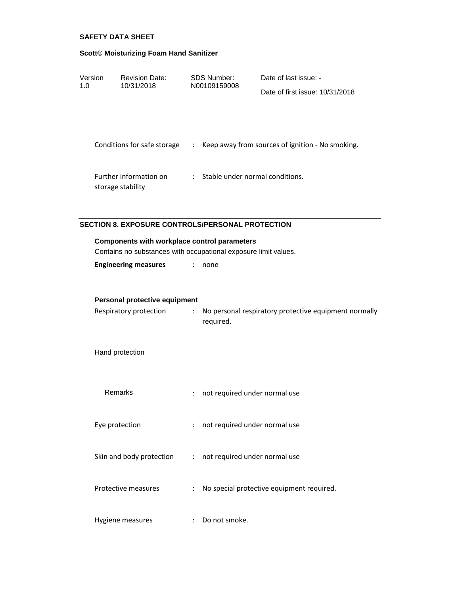# **Scott© Moisturizing Foam Hand Sanitizer**

| Version<br>1.0 | <b>Revision Date:</b><br>10/31/2018                                                                     |                           | SDS Number:<br>N00109159008     | Date of last issue: -<br>Date of first issue: 10/31/2018                                                            |
|----------------|---------------------------------------------------------------------------------------------------------|---------------------------|---------------------------------|---------------------------------------------------------------------------------------------------------------------|
|                |                                                                                                         |                           |                                 | Conditions for safe storage : Keep away from sources of ignition - No smoking.<br>: Stable under normal conditions. |
|                | Further information on<br>storage stability                                                             |                           |                                 |                                                                                                                     |
|                | <b>SECTION 8. EXPOSURE CONTROLS/PERSONAL PROTECTION</b><br>Components with workplace control parameters |                           |                                 |                                                                                                                     |
|                | Contains no substances with occupational exposure limit values.                                         |                           |                                 |                                                                                                                     |
|                | <b>Engineering measures</b>                                                                             |                           | none                            |                                                                                                                     |
|                | Personal protective equipment<br>Respiratory protection                                                 | $\mathbb{Z}^{\mathbb{Z}}$ | required.                       | No personal respiratory protective equipment normally                                                               |
|                | Hand protection                                                                                         |                           |                                 |                                                                                                                     |
|                | Remarks                                                                                                 | ÷                         | not required under normal use   |                                                                                                                     |
|                | Eye protection                                                                                          |                           | : not required under normal use |                                                                                                                     |
|                | Skin and body protection                                                                                |                           | : not required under normal use |                                                                                                                     |
|                | Protective measures                                                                                     | ÷                         |                                 | No special protective equipment required.                                                                           |
|                | Hygiene measures                                                                                        |                           | : Do not smoke.                 |                                                                                                                     |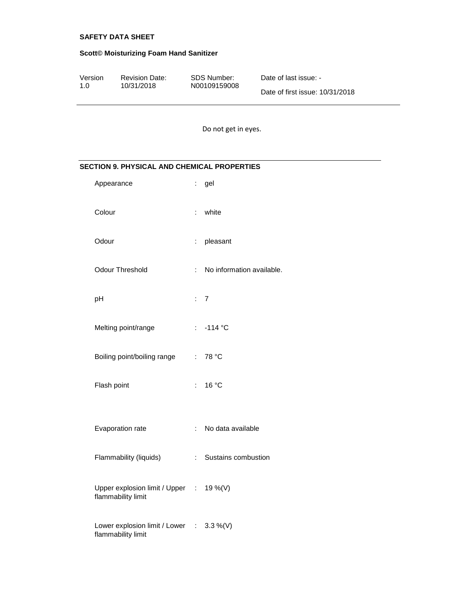# **Scott© Moisturizing Foam Hand Sanitizer**

| Version | <b>Revision Date:</b> | SDS Number:  | Date of last issue: -           |
|---------|-----------------------|--------------|---------------------------------|
| 1.0     | 10/31/2018            | N00109159008 | Date of first issue: 10/31/2018 |

Do not get in eyes.

# **SECTION 9. PHYSICAL AND CHEMICAL PROPERTIES**

| Appearance                                                     | t.                        | gel                       |
|----------------------------------------------------------------|---------------------------|---------------------------|
| Colour                                                         |                           | : white                   |
| Odour                                                          | $\mathbb{R}^{\mathbb{Z}}$ | pleasant                  |
| <b>Odour Threshold</b>                                         | ÷.                        | No information available. |
| pH                                                             |                           | $\therefore$ 7            |
| Melting point/range                                            |                           | $: -114 °C$               |
| Boiling point/boiling range                                    |                           | : $78 °C$                 |
| Flash point                                                    | $\mathbb{R}^{\mathbb{Z}}$ | 16 °C                     |
|                                                                |                           |                           |
| Evaporation rate                                               | $\mathbb{R}^{\mathbb{Z}}$ | No data available         |
| Flammability (liquids)                                         | $\mathbb{R}^{\mathbb{Z}}$ | Sustains combustion       |
| Upper explosion limit / Upper : 19 %(V)<br>flammability limit  |                           |                           |
| Lower explosion limit / Lower : 3.3 %(V)<br>flammability limit |                           |                           |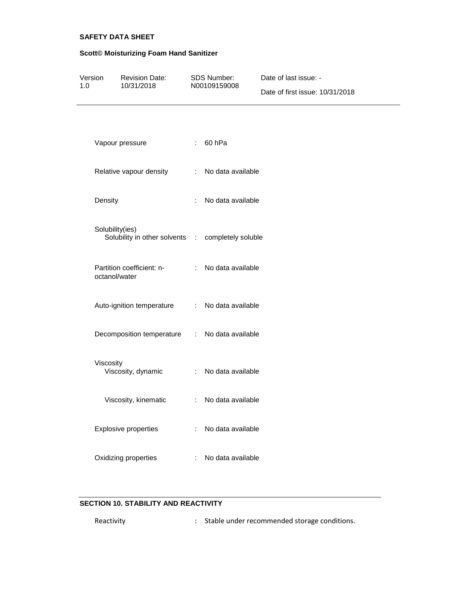# **Scott© Moisturizing Foam Hand Sanitizer**

| Version |                         | <b>Revision Date:</b>                             |                    | SDS Number:         | Date of last issue: -           |
|---------|-------------------------|---------------------------------------------------|--------------------|---------------------|---------------------------------|
| 1.0     |                         | 10/31/2018                                        | N00109159008       |                     | Date of first issue: 10/31/2018 |
|         |                         |                                                   |                    |                     |                                 |
|         |                         | Vapour pressure                                   |                    | : 60hPa             |                                 |
|         | Relative vapour density |                                                   |                    | : No data available |                                 |
|         | Density                 |                                                   | $\mathbb{R}^{n+1}$ | No data available   |                                 |
|         | Solubility(ies)         | Solubility in other solvents : completely soluble |                    |                     |                                 |
|         | octanol/water           | Partition coefficient: n-                         |                    | : No data available |                                 |
|         |                         | Auto-ignition temperature                         |                    | : No data available |                                 |
|         |                         | Decomposition temperature : No data available     |                    |                     |                                 |
|         | Viscosity               | Viscosity, dynamic                                |                    | : No data available |                                 |
|         |                         | Viscosity, kinematic                              |                    | : No data available |                                 |
|         |                         | <b>Explosive properties</b>                       | ÷                  | No data available   |                                 |
|         |                         | Oxidizing properties                              |                    | No data available   |                                 |

## **SECTION 10. STABILITY AND REACTIVITY**

| Reactivity |  | : Stable under recommended storage conditions. |
|------------|--|------------------------------------------------|
|------------|--|------------------------------------------------|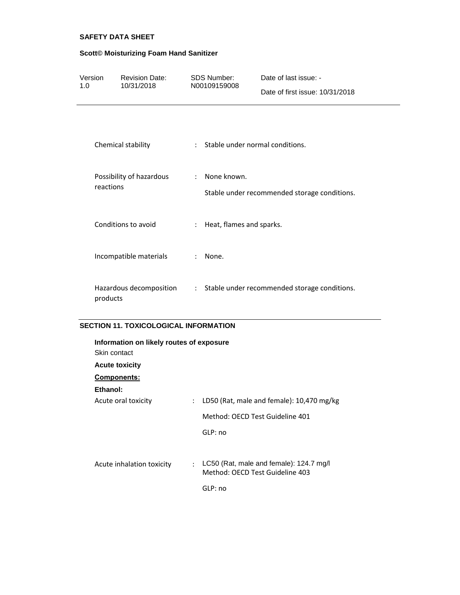# **Scott© Moisturizing Foam Hand Sanitizer**

| Version<br>1.0 | <b>Revision Date:</b><br>10/31/2018   | SDS Number:<br>N00109159008                           | Date of last issue: -<br>Date of first issue: 10/31/2018 |
|----------------|---------------------------------------|-------------------------------------------------------|----------------------------------------------------------|
|                | Chemical stability                    | $\mathcal{L}$                                         | Stable under normal conditions.                          |
|                | Possibility of hazardous<br>reactions | None known.<br>$\mathbf{r}$                           | Stable under recommended storage conditions.             |
|                | Conditions to avoid                   | Heat, flames and sparks.<br>$\mathbb{R}^{\mathbb{Z}}$ |                                                          |
|                | Incompatible materials                | None.<br>$\ddot{\phantom{a}}$                         |                                                          |
|                | Hazardous decomposition<br>products   | $\mathbb{Z}^{\times}$ .                               | Stable under recommended storage conditions.             |

## **SECTION 11. TOXICOLOGICAL INFORMATION**

| Information on likely routes of exposure<br>Skin contact |                                                                            |  |  |  |  |
|----------------------------------------------------------|----------------------------------------------------------------------------|--|--|--|--|
| <b>Acute toxicity</b>                                    |                                                                            |  |  |  |  |
| Components:                                              |                                                                            |  |  |  |  |
| Ethanol:                                                 |                                                                            |  |  |  |  |
| Acute oral toxicity<br>÷                                 | LD50 (Rat, male and female): 10,470 mg/kg                                  |  |  |  |  |
|                                                          | Method: OFCD Test Guideline 401                                            |  |  |  |  |
|                                                          | GLP:no                                                                     |  |  |  |  |
|                                                          |                                                                            |  |  |  |  |
| Acute inhalation toxicity<br>÷                           | LC50 (Rat, male and female): 124.7 mg/l<br>Method: OECD Test Guideline 403 |  |  |  |  |
|                                                          | GLP: no                                                                    |  |  |  |  |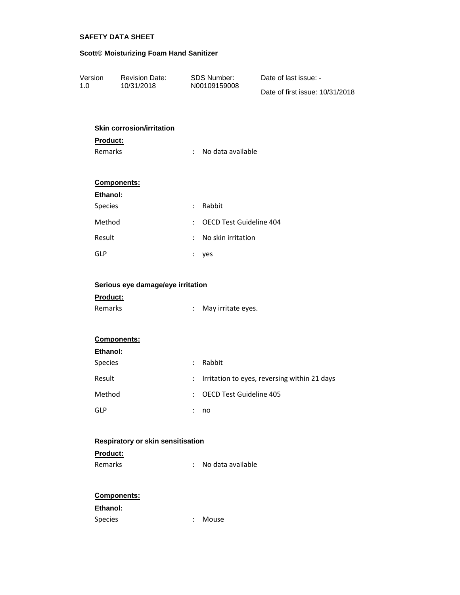# **Scott© Moisturizing Foam Hand Sanitizer**

| Version | <b>Revision Date:</b> | SDS Number:  | Date of last issue: -           |
|---------|-----------------------|--------------|---------------------------------|
| 1.0     | 10/31/2018            | N00109159008 |                                 |
|         |                       |              | Date of first issue: 10/31/2018 |

## **Skin corrosion/irritation**

| Product:                          |                      |                                              |
|-----------------------------------|----------------------|----------------------------------------------|
| Remarks                           | ÷                    | No data available                            |
|                                   |                      |                                              |
| Components:                       |                      |                                              |
| Ethanol:                          |                      |                                              |
| Species                           | ÷                    | Rabbit                                       |
| Method                            | t.                   | OECD Test Guideline 404                      |
| Result                            | $\ddot{\cdot}$       | No skin irritation                           |
| <b>GLP</b>                        | t                    | yes                                          |
|                                   |                      |                                              |
| Serious eye damage/eye irritation |                      |                                              |
| Product:                          |                      |                                              |
| Remarks                           | ÷                    | May irritate eyes.                           |
|                                   |                      |                                              |
| Components:                       |                      |                                              |
| Ethanol:                          |                      |                                              |
| Species                           | ÷                    | Rabbit                                       |
| Result                            | ÷.                   | Irritation to eyes, reversing within 21 days |
| Method                            | t                    | <b>OECD Test Guideline 405</b>               |
| <b>GLP</b>                        | $\ddot{\phantom{a}}$ | no                                           |
|                                   |                      |                                              |
| Respiratory or skin sensitisation |                      |                                              |
| Product:<br>Remarks               |                      | No data available                            |
|                                   | ÷                    |                                              |
| Campananta:                       |                      |                                              |

### **Components:**

# **Ethanol:**

| Species | Mouse |
|---------|-------|
|         |       |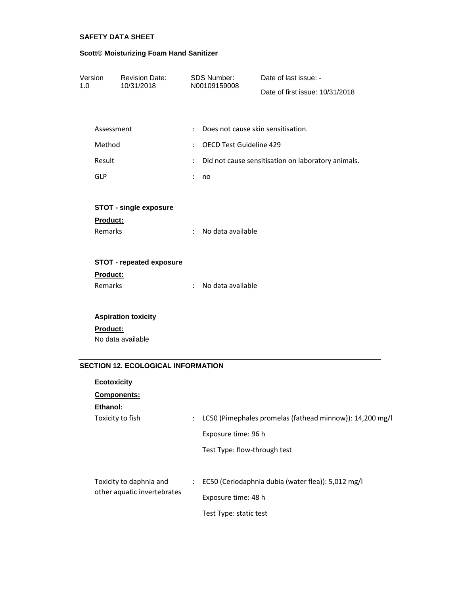# **Scott© Moisturizing Foam Hand Sanitizer**

| Version<br>1.0             | <b>Revision Date:</b><br>10/31/2018       |                      | <b>SDS Number:</b><br>N00109159008 | Date of last issue: -<br>Date of first issue: 10/31/2018 |  |  |  |  |
|----------------------------|-------------------------------------------|----------------------|------------------------------------|----------------------------------------------------------|--|--|--|--|
|                            | Assessment                                | $\ddot{\phantom{a}}$ |                                    | Does not cause skin sensitisation.                       |  |  |  |  |
|                            | Method                                    |                      |                                    | OECD Test Guideline 429                                  |  |  |  |  |
| Result                     |                                           | ÷<br>÷               |                                    | Did not cause sensitisation on laboratory animals.       |  |  |  |  |
| GLP                        |                                           | ÷                    | no                                 |                                                          |  |  |  |  |
| <b>Product:</b><br>Remarks | <b>STOT - single exposure</b>             | ÷                    | No data available                  |                                                          |  |  |  |  |
| Product:                   | <b>STOT - repeated exposure</b>           |                      |                                    |                                                          |  |  |  |  |
| <b>Remarks</b>             |                                           | ÷                    | No data available                  |                                                          |  |  |  |  |
|                            | <b>Aspiration toxicity</b>                |                      |                                    |                                                          |  |  |  |  |
| <b>Product:</b>            | No data available                         |                      |                                    |                                                          |  |  |  |  |
|                            | <b>SECTION 12. ECOLOGICAL INFORMATION</b> |                      |                                    |                                                          |  |  |  |  |
|                            | <b>Ecotoxicity</b>                        |                      |                                    |                                                          |  |  |  |  |
|                            | Components:                               |                      |                                    |                                                          |  |  |  |  |
| Ethanol:                   | Toxicity to fish                          | ÷                    |                                    | LC50 (Pimephales promelas (fathead minnow)): 14,200 mg/l |  |  |  |  |
|                            |                                           |                      | Exposure time: 96 h                |                                                          |  |  |  |  |
|                            |                                           |                      | Test Type: flow-through test       |                                                          |  |  |  |  |
|                            | Toxicity to daphnia and                   |                      |                                    | EC50 (Ceriodaphnia dubia (water flea)): 5,012 mg/l       |  |  |  |  |
|                            | other aquatic invertebrates               |                      | Exposure time: 48 h                |                                                          |  |  |  |  |
|                            |                                           |                      | Test Type: static test             |                                                          |  |  |  |  |
|                            |                                           |                      |                                    |                                                          |  |  |  |  |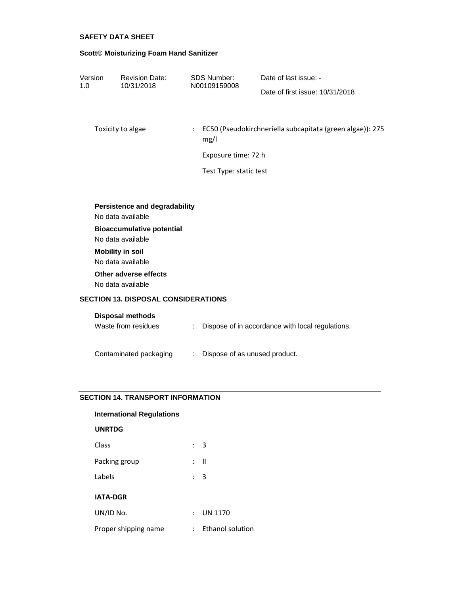# **Scott© Moisturizing Foam Hand Sanitizer**

| Version                                            | <b>Revision Date:</b>                        | <b>SDS Number:</b> | Date of last issue: -                                               |                                                  |  |  |
|----------------------------------------------------|----------------------------------------------|--------------------|---------------------------------------------------------------------|--------------------------------------------------|--|--|
| 1.0                                                | 10/31/2018                                   |                    | N00109159008                                                        | Date of first issue: 10/31/2018                  |  |  |
|                                                    |                                              |                    |                                                                     |                                                  |  |  |
|                                                    | Toxicity to algae                            |                    | : EC50 (Pseudokirchneriella subcapitata (green algae)): 275<br>mg/l |                                                  |  |  |
|                                                    |                                              |                    | Exposure time: 72 h                                                 |                                                  |  |  |
|                                                    |                                              |                    | Test Type: static test                                              |                                                  |  |  |
|                                                    |                                              |                    |                                                                     |                                                  |  |  |
| Persistence and degradability<br>No data available |                                              |                    |                                                                     |                                                  |  |  |
|                                                    | <b>Bioaccumulative potential</b>             |                    |                                                                     |                                                  |  |  |
|                                                    | No data available                            |                    |                                                                     |                                                  |  |  |
|                                                    | <b>Mobility in soil</b><br>No data available |                    |                                                                     |                                                  |  |  |
|                                                    | Other adverse effects                        |                    |                                                                     |                                                  |  |  |
|                                                    | No data available                            |                    |                                                                     |                                                  |  |  |
|                                                    | <b>SECTION 13. DISPOSAL CONSIDERATIONS</b>   |                    |                                                                     |                                                  |  |  |
|                                                    | <b>Disposal methods</b>                      |                    |                                                                     |                                                  |  |  |
|                                                    | Waste from residues                          | ÷                  |                                                                     | Dispose of in accordance with local regulations. |  |  |
|                                                    |                                              |                    |                                                                     |                                                  |  |  |
|                                                    | Contaminated packaging                       | ÷                  | Dispose of as unused product.                                       |                                                  |  |  |
|                                                    |                                              |                    |                                                                     |                                                  |  |  |

### **SECTION 14. TRANSPORT INFORMATION**

# **International Regulations**

### **UNRTDG**

| Class                | $\therefore$ 3 |                  |
|----------------------|----------------|------------------|
| Packing group        | : II           |                  |
| Labels               | : 3            |                  |
| <b>IATA-DGR</b>      |                |                  |
| UN/ID No.            | t.             | <b>UN 1170</b>   |
| Proper shipping name |                | Ethanol solution |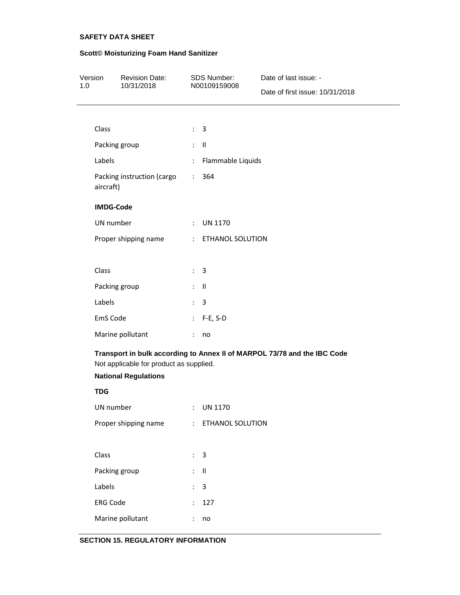# **Scott© Moisturizing Foam Hand Sanitizer**

| Version<br>1.0 |                                                                                                                                                    | <b>Revision Date:</b><br>10/31/2018 |                            | SDS Number:<br>N00109159008 | Date of last issue: -<br>Date of first issue: 10/31/2018 |  |
|----------------|----------------------------------------------------------------------------------------------------------------------------------------------------|-------------------------------------|----------------------------|-----------------------------|----------------------------------------------------------|--|
|                |                                                                                                                                                    |                                     |                            |                             |                                                          |  |
|                | Class                                                                                                                                              |                                     |                            | $\therefore$ 3              |                                                          |  |
|                | Packing group<br>Labels                                                                                                                            |                                     |                            | $\mathbb{I}$ $\mathbb{I}$   |                                                          |  |
|                |                                                                                                                                                    |                                     | $\mathbb{C}^2$             | Flammable Liquids           |                                                          |  |
|                | Packing instruction (cargo<br>aircraft)                                                                                                            |                                     | $\mathbb{Z}^{\times}$      | 364                         |                                                          |  |
|                | <b>IMDG-Code</b>                                                                                                                                   |                                     |                            |                             |                                                          |  |
|                | UN number                                                                                                                                          |                                     | $\mathbb{R}^{\mathbb{Z}}$  | <b>UN 1170</b>              |                                                          |  |
|                | Proper shipping name                                                                                                                               |                                     |                            | : ETHANOL SOLUTION          |                                                          |  |
|                |                                                                                                                                                    |                                     |                            |                             |                                                          |  |
|                | Class                                                                                                                                              |                                     |                            | $\therefore$ 3              |                                                          |  |
|                | Packing group                                                                                                                                      |                                     |                            | $\mathbb{I}$ $\blacksquare$ |                                                          |  |
|                | Labels                                                                                                                                             |                                     | $\ddot{\Sigma}$            | $\overline{3}$              |                                                          |  |
|                | EmS Code                                                                                                                                           |                                     | $\mathcal{L}^{\text{max}}$ | $F-E, S-D$                  |                                                          |  |
|                |                                                                                                                                                    | Marine pollutant                    | $\ddot{\phantom{a}}$       | no                          |                                                          |  |
|                | Transport in bulk according to Annex II of MARPOL 73/78 and the IBC Code<br>Not applicable for product as supplied.<br><b>National Regulations</b> |                                     |                            |                             |                                                          |  |
|                | <b>TDG</b>                                                                                                                                         |                                     |                            |                             |                                                          |  |
|                | UN number                                                                                                                                          |                                     |                            | <b>UN 1170</b>              |                                                          |  |
|                |                                                                                                                                                    | Proper shipping name                | $\mathcal{L}$              | ETHANOL SOLUTION            |                                                          |  |
|                |                                                                                                                                                    |                                     |                            |                             |                                                          |  |
|                | Class                                                                                                                                              |                                     | $\ddot{\phantom{a}}$       | $\mathbf{3}$                |                                                          |  |
|                | Packing group                                                                                                                                      |                                     | $\mathbb{R}^{\mathbb{Z}}$  | $\sf II$                    |                                                          |  |
|                | Labels                                                                                                                                             |                                     | $\ddot{\phantom{a}}$       | $\overline{3}$              |                                                          |  |
|                | <b>ERG Code</b>                                                                                                                                    |                                     | $\mathbf{r}$               | 127                         |                                                          |  |
|                |                                                                                                                                                    | Marine pollutant                    |                            | no                          |                                                          |  |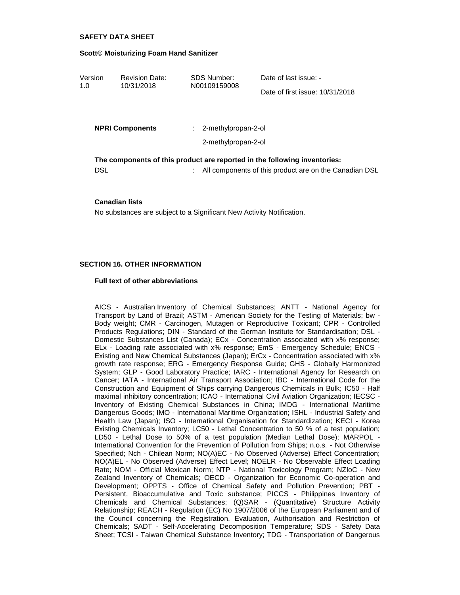#### **Scott© Moisturizing Foam Hand Sanitizer**

| Version | <b>Revision Date:</b> | SDS Number:  | Date of last issue: -           |
|---------|-----------------------|--------------|---------------------------------|
| 1.0     | 10/31/2018            | N00109159008 |                                 |
|         |                       |              | Date of first issue: 10/31/2018 |

| <b>NPRI Components</b> | $: 2$ -methylpropan-2-ol<br>2-methylpropan-2-ol                                                                                       |
|------------------------|---------------------------------------------------------------------------------------------------------------------------------------|
| DSL                    | The components of this product are reported in the following inventories:<br>: All components of this product are on the Canadian DSL |

#### **Canadian lists**

No substances are subject to a Significant New Activity Notification.

#### **SECTION 16. OTHER INFORMATION**

#### **Full text of other abbreviations**

AICS - Australian Inventory of Chemical Substances; ANTT - National Agency for Transport by Land of Brazil; ASTM - American Society for the Testing of Materials; bw - Body weight; CMR - Carcinogen, Mutagen or Reproductive Toxicant; CPR - Controlled Products Regulations; DIN - Standard of the German Institute for Standardisation; DSL - Domestic Substances List (Canada); ECx - Concentration associated with x% response; ELx - Loading rate associated with x% response; EmS - Emergency Schedule; ENCS - Existing and New Chemical Substances (Japan); ErCx - Concentration associated with x% growth rate response; ERG - Emergency Response Guide; GHS - Globally Harmonized System; GLP - Good Laboratory Practice; IARC - International Agency for Research on Cancer; IATA - International Air Transport Association; IBC - International Code for the Construction and Equipment of Ships carrying Dangerous Chemicals in Bulk; IC50 - Half maximal inhibitory concentration; ICAO - International Civil Aviation Organization; IECSC - Inventory of Existing Chemical Substances in China; IMDG - International Maritime Dangerous Goods; IMO - International Maritime Organization; ISHL - Industrial Safety and Health Law (Japan); ISO - International Organisation for Standardization; KECI - Korea Existing Chemicals Inventory; LC50 - Lethal Concentration to 50 % of a test population; LD50 - Lethal Dose to 50% of a test population (Median Lethal Dose); MARPOL - International Convention for the Prevention of Pollution from Ships; n.o.s. - Not Otherwise Specified; Nch - Chilean Norm; NO(A)EC - No Observed (Adverse) Effect Concentration; NO(A)EL - No Observed (Adverse) Effect Level; NOELR - No Observable Effect Loading Rate; NOM - Official Mexican Norm; NTP - National Toxicology Program; NZIoC - New Zealand Inventory of Chemicals; OECD - Organization for Economic Co-operation and Development; OPPTS - Office of Chemical Safety and Pollution Prevention; PBT - Persistent, Bioaccumulative and Toxic substance; PICCS - Philippines Inventory of Chemicals and Chemical Substances; (Q)SAR - (Quantitative) Structure Activity Relationship; REACH - Regulation (EC) No 1907/2006 of the European Parliament and of the Council concerning the Registration, Evaluation, Authorisation and Restriction of Chemicals; SADT - Self-Accelerating Decomposition Temperature; SDS - Safety Data Sheet; TCSI - Taiwan Chemical Substance Inventory; TDG - Transportation of Dangerous